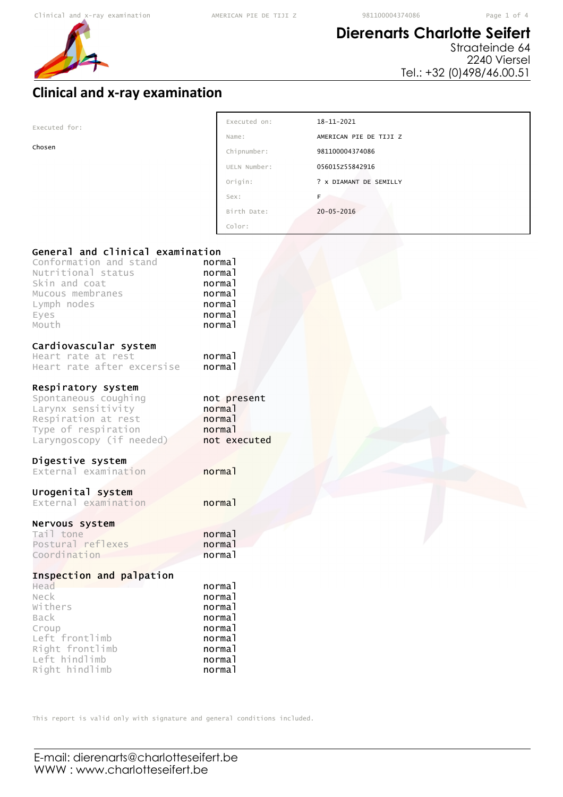$\overline{\Gamma}$ 



## **Dierenarts Charlotte Seifert**

Straateinde 64 2240 Viersel Tel.: +32 (0)498/46.00.51

## **Clinical and x-ray examination**

| Executed for:                                                                                                                                         | Executed on:                                                                           | 18-11-2021             |
|-------------------------------------------------------------------------------------------------------------------------------------------------------|----------------------------------------------------------------------------------------|------------------------|
|                                                                                                                                                       | Name:                                                                                  | AMERICAN PIE DE TIJI Z |
| Chosen                                                                                                                                                | Chipnumber:                                                                            | 981100004374086        |
|                                                                                                                                                       | UELN Number:                                                                           | 056015z55842916        |
|                                                                                                                                                       | Origin:                                                                                | ? X DIAMANT DE SEMILLY |
|                                                                                                                                                       | Sex:                                                                                   | F <sub>a</sub>         |
|                                                                                                                                                       | Birth Date:                                                                            | $20 - 05 - 2016$       |
|                                                                                                                                                       | Color:                                                                                 |                        |
| General and clinical examination<br>Conformation and stand<br>Nutritional status<br>Skin and coat<br>Mucous membranes<br>Lymph nodes<br>Eyes<br>Mouth | normal<br>normal<br>normal<br>normal<br>normal<br>normal<br>normal                     |                        |
| Cardiovascular system<br>Heart rate at rest<br>Heart rate after excersise                                                                             | normal<br>normal                                                                       |                        |
| Respiratory system<br>Spontaneous coughing<br>Larynx sensitivity<br>Respiration at rest<br>Type of respiration<br>Laryngoscopy (if needed)            | not present<br>normal<br>normal<br>normal<br>not executed                              |                        |
| Digestive system<br>External examination                                                                                                              | normal                                                                                 |                        |
| Urogenital system<br>External examination                                                                                                             | normal                                                                                 |                        |
| Nervous system<br>Tail tone<br>Postural reflexes<br>Coordination                                                                                      | normal<br>normal<br>normal                                                             |                        |
| Inspection and palpation<br>Head<br>Neck<br>Withers<br>Back<br>Croup<br>Left frontlimb<br>Right frontlimb<br>Left hindlimb<br>Right hindlimb          | normal<br>normal<br>normal<br>normal<br>normal<br>normal<br>normal<br>normal<br>normal |                        |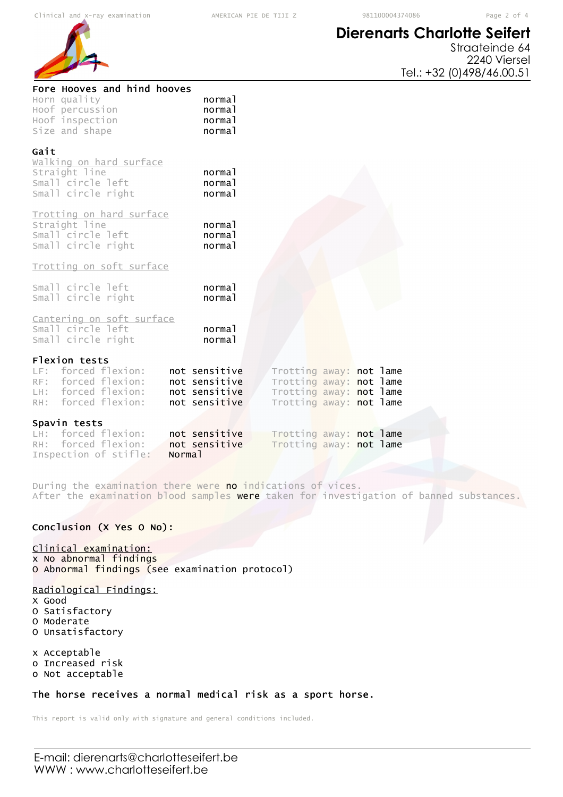## **Dierenarts Charlotte Seifert**



Straateinde 64 2240 Viersel Tel.: +32 (0)498/46.00.51

| Fore Hooves and hind hooves<br>Horn quality<br>Hoof percussion<br>Hoof inspection<br>Size and shape       | normal<br>normal<br>normal<br>normal                             |                                                                                                          |  |  |
|-----------------------------------------------------------------------------------------------------------|------------------------------------------------------------------|----------------------------------------------------------------------------------------------------------|--|--|
| Gait<br>walking on hard surface<br>Straight line<br>Small circle left<br>Small circle right               | normal<br>normal<br>normal                                       |                                                                                                          |  |  |
| Trotting on hard surface<br>Straight line<br>Small circle left<br>Small circle right                      | normal<br>normal<br>normal                                       |                                                                                                          |  |  |
| Trotting on soft surface                                                                                  |                                                                  |                                                                                                          |  |  |
| Small circle left<br>Small circle right                                                                   | normal<br>normal                                                 |                                                                                                          |  |  |
| Cantering on soft surface<br>Small circle left<br>Small circle right                                      | normal<br>normal                                                 |                                                                                                          |  |  |
| Flexion tests<br>LF: forced flexion:<br>RF: forced flexion:<br>LH: forced flexion:<br>RH: forced flexion: | not sensitive<br>not sensitive<br>not sensitive<br>not sensitive | Trotting away: not lame<br>Trotting away: not lame<br>Trotting away: not lame<br>Trotting away: not lame |  |  |
| Spavin tests<br>LH: forced flexion:                                                                       | not sensitive                                                    | Trotting away: not lame                                                                                  |  |  |
| RH: forced flexion:<br>Inspection of stifle:<br>Normal                                                    | not sensitive                                                    | Trotting away: not lame                                                                                  |  |  |

During the examination there were no indications of vices. After the examination blood samples were taken for investigation of banned substances.

### Conclusion (X Yes O No):

### Clinical examination:

x No abnormal findings O Abnormal findings (see examination protocol)

#### Radiological Findings:

- X Good
- O Satisfactory
- O Moderate
- O Unsatisfactory

x Acceptable o Increased risk

o Not acceptable

#### The horse receives a normal medical risk as a sport horse.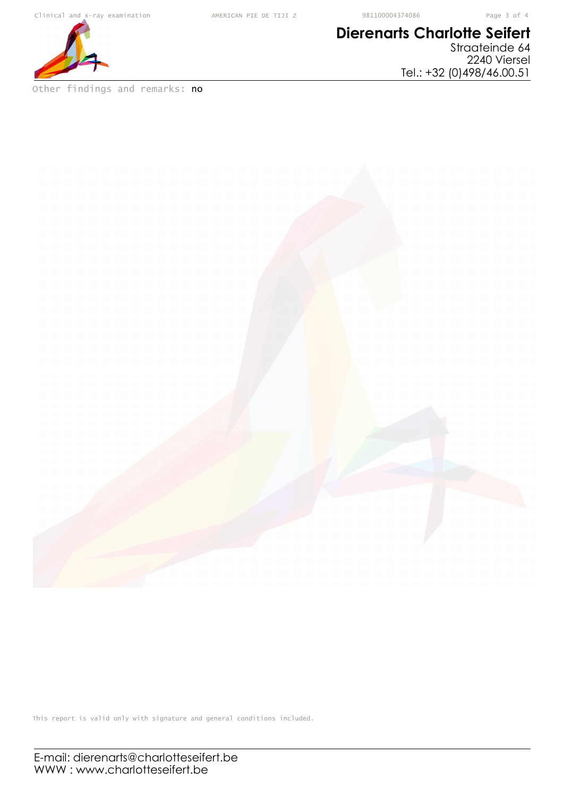

Other findings and remarks: no

## **Dierenarts Charlotte Seifert** Straateinde 64

2240 Viersel Tel.: +32 (0)498/46.00.51